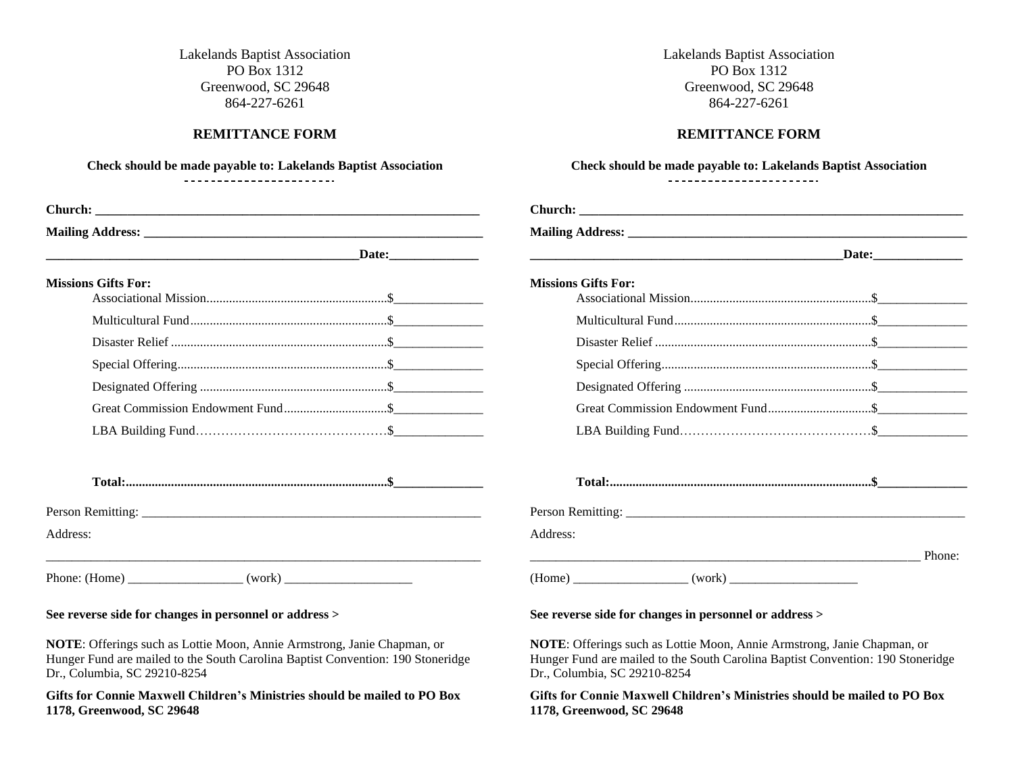Lakelands Baptist Association PO Box 1312 Greenwood, SC 29648 864-227-6261

### **REMITTANCE FORM**

# **Check should be made payable to: Lakelands Baptist Association**

#### \_\_\_\_\_\_\_\_\_\_\_\_\_\_\_\_\_\_\_\_\_\_\_\_\_

| <b>Missions Gifts For:</b> |  |
|----------------------------|--|
|                            |  |
|                            |  |
|                            |  |
|                            |  |
|                            |  |
|                            |  |
|                            |  |
|                            |  |

**Total:.................................................................................\$\_\_\_\_\_\_\_\_\_\_\_\_\_\_**

Person Remitting: \_\_\_\_\_\_\_\_\_\_\_\_\_\_\_\_\_\_\_\_\_\_\_\_\_\_\_\_\_\_\_\_\_\_\_\_\_\_\_\_\_\_\_\_\_\_\_\_\_\_\_\_\_

Address:

Phone: (Home)  $(work)$ 

#### **See reverse side for changes in personnel or address >**

**NOTE**: Offerings such as Lottie Moon, Annie Armstrong, Janie Chapman, or Hunger Fund are mailed to the South Carolina Baptist Convention: 190 Stoneridge Dr., Columbia, SC 29210-8254

**Gifts for Connie Maxwell Children's Ministries should be mailed to PO Box 1178, Greenwood, SC 29648**

Lakelands Baptist Association PO Box 1312 Greenwood, SC 29648 864-227-6261

## **REMITTANCE FORM**

#### **Check should be made payable to: Lakelands Baptist Association**

| ------------------------- |  |  |  |  |  |  |  |  |  |  |  |
|---------------------------|--|--|--|--|--|--|--|--|--|--|--|

| <b>Missions Gifts For:</b> |  |        |
|----------------------------|--|--------|
|                            |  |        |
|                            |  |        |
|                            |  |        |
|                            |  |        |
|                            |  |        |
|                            |  |        |
|                            |  |        |
|                            |  |        |
| Address:                   |  |        |
|                            |  | Phone: |
|                            |  |        |

#### **See reverse side for changes in personnel or address >**

**NOTE**: Offerings such as Lottie Moon, Annie Armstrong, Janie Chapman, or Hunger Fund are mailed to the South Carolina Baptist Convention: 190 Stoneridge Dr., Columbia, SC 29210-8254

**Gifts for Connie Maxwell Children's Ministries should be mailed to PO Box 1178, Greenwood, SC 29648**